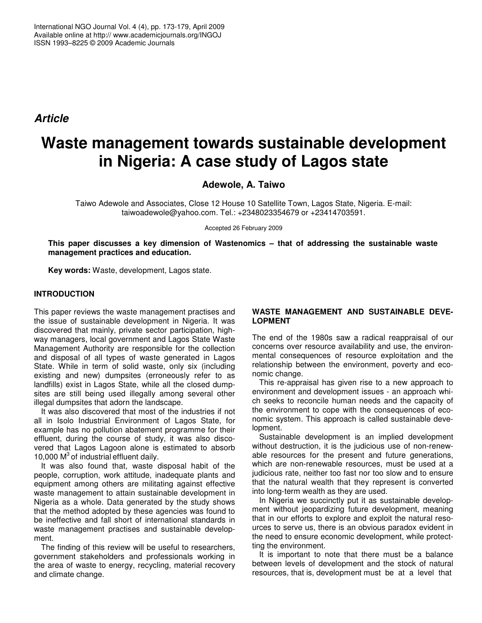*Article*

# **Waste management towards sustainable development in Nigeria: A case study of Lagos state**

**Adewole, A. Taiwo**

Taiwo Adewole and Associates, Close 12 House 10 Satellite Town, Lagos State, Nigeria. E-mail: taiwoadewole@yahoo.com. Tel.: +2348023354679 or +23414703591.

Accepted 26 February 2009

**This paper discusses a key dimension of Wastenomics – that of addressing the sustainable waste management practices and education.**

**Key words:** Waste, development, Lagos state.

## **INTRODUCTION**

This paper reviews the waste management practises and the issue of sustainable development in Nigeria. It was discovered that mainly, private sector participation, highway managers, local government and Lagos State Waste Management Authority are responsible for the collection and disposal of all types of waste generated in Lagos State. While in term of solid waste, only six (including existing and new) dumpsites (erroneously refer to as landfills) exist in Lagos State, while all the closed dumpsites are still being used illegally among several other illegal dumpsites that adorn the landscape.

It was also discovered that most of the industries if not all in Isolo Industrial Environment of Lagos State, for example has no pollution abatement programme for their effluent, during the course of study, it was also discovered that Lagos Lagoon alone is estimated to absorb 10,000 M<sup>3</sup> of industrial effluent daily.

It was also found that, waste disposal habit of the people, corruption, work attitude, inadequate plants and equipment among others are militating against effective waste management to attain sustainable development in Nigeria as a whole. Data generated by the study shows that the method adopted by these agencies was found to be ineffective and fall short of international standards in waste management practises and sustainable development.

The finding of this review will be useful to researchers, government stakeholders and professionals working in the area of waste to energy, recycling, material recovery and climate change.

#### **WASTE MANAGEMENT AND SUSTAINABLE DEVE-LOPMENT**

The end of the 1980s saw a radical reappraisal of our concerns over resource availability and use, the environmental consequences of resource exploitation and the relationship between the environment, poverty and economic change.

This re-appraisal has given rise to a new approach to environment and development issues - an approach which seeks to reconcile human needs and the capacity of the environment to cope with the consequences of economic system. This approach is called sustainable development.

Sustainable development is an implied development without destruction, it is the judicious use of non-renewable resources for the present and future generations, which are non-renewable resources, must be used at a judicious rate, neither too fast nor too slow and to ensure that the natural wealth that they represent is converted into long-term wealth as they are used.

In Nigeria we succinctly put it as sustainable development without jeopardizing future development, meaning that in our efforts to explore and exploit the natural resources to serve us, there is an obvious paradox evident in the need to ensure economic development, while protectting the environment.

It is important to note that there must be a balance between levels of development and the stock of natural resources, that is, development must be at a level that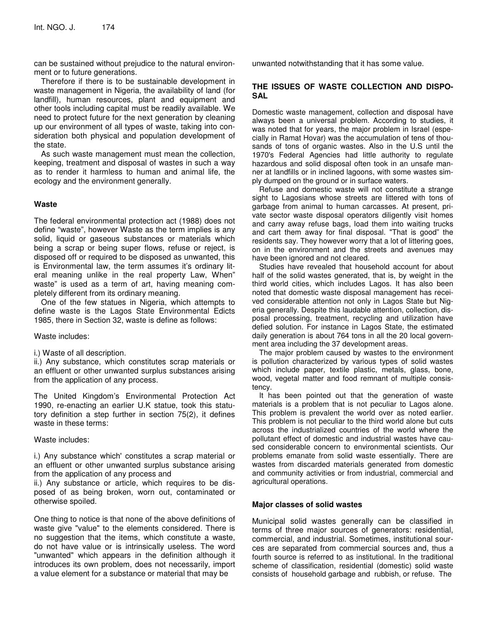can be sustained without prejudice to the natural environment or to future generations.

Therefore if there is to be sustainable development in waste management in Nigeria, the availability of land (for landfill), human resources, plant and equipment and other tools including capital must be readily available. We need to protect future for the next generation by cleaning up our environment of all types of waste, taking into consideration both physical and population development of the state.

As such waste management must mean the collection, keeping, treatment and disposal of wastes in such a way as to render it harmless to human and animal life, the ecology and the environment generally.

#### **Waste**

The federal environmental protection act (1988) does not define "waste", however Waste as the term implies is any solid, liquid or gaseous substances or materials which being a scrap or being super flows, refuse or reject, is disposed off or required to be disposed as unwanted, this is Environmental law, the term assumes it's ordinary literal meaning unlike in the real property Law, When" waste" is used as a term of art, having meaning completely different from its ordinary meaning.

One of the few statues in Nigeria, which attempts to define waste is the Lagos State Environmental Edicts 1985, there in Section 32, waste is define as follows:

#### Waste includes:

i.) Waste of all description.

ii.) Any substance, which constitutes scrap materials or an effluent or other unwanted surplus substances arising from the application of any process.

The United Kingdom's Environmental Protection Act 1990, re-enacting an earlier U.K statue, took this statutory definition a step further in section 75(2), it defines waste in these terms:

Waste includes:

i.) Any substance which' constitutes a scrap material or an effluent or other unwanted surplus substance arising from the application of any process and

ii.) Any substance or article, which requires to be disposed of as being broken, worn out, contaminated or otherwise spoiled.

One thing to notice is that none of the above definitions of waste give "value" to the elements considered. There is no suggestion that the items, which constitute a waste, do not have value or is intrinsically useless. The word "unwanted" which appears in the definition although it introduces its own problem, does not necessarily, import a value element for a substance or material that may be

unwanted notwithstanding that it has some value.

## **THE ISSUES OF WASTE COLLECTION AND DISPO-SAL**

Domestic waste management, collection and disposal have always been a universal problem. According to studies, it was noted that for years, the major problem in Israel (especially in Ramat Hovar) was the accumulation of tens of thousands of tons of organic wastes. Also in the U.S until the 1970's Federal Agencies had little authority to regulate hazardous and solid disposal often took in an unsafe manner at landfills or in inclined lagoons, with some wastes simply dumped on the ground or in surface waters.

Refuse and domestic waste will not constitute a strange sight to Lagosians whose streets are littered with tons of garbage from animal to human carcasses. At present, private sector waste disposal operators diligently visit homes and carry away refuse bags, load them into waiting trucks and cart them away for final disposal. "That is good" the residents say. They however worry that a lot of littering goes, on in the environment and the streets and avenues may have been ignored and not cleared.

Studies have revealed that household account for about half of the solid wastes generated, that is, by weight in the third world cities, which includes Lagos. It has also been noted that domestic waste disposal management has received considerable attention not only in Lagos State but Nigeria generally. Despite this laudable attention, collection, disposal processing, treatment, recycling and utilization have defied solution. For instance in Lagos State, the estimated daily generation is about 764 tons in all the 20 local government area including the 37 development areas.

The major problem caused by wastes to the environment is pollution characterized by various types of solid wastes which include paper, textile plastic, metals, glass, bone, wood, vegetal matter and food remnant of multiple consistency.

It has been pointed out that the generation of waste materials is a problem that is not peculiar to Lagos alone. This problem is prevalent the world over as noted earlier. This problem is not peculiar to the third world alone but cuts across the industrialized countries of the world where the pollutant effect of domestic and industrial wastes have caused considerable concern to environmental scientists. Our problems emanate from solid waste essentially. There are wastes from discarded materials generated from domestic and community activities or from industrial, commercial and agricultural operations.

#### **Major classes of solid wastes**

Municipal solid wastes generally can be classified in terms of three major sources of generators: residential, commercial, and industrial. Sometimes, institutional sources are separated from commercial sources and, thus a fourth source is referred to as institutional. In the traditional scheme of classification, residential (domestic) solid waste consists of household garbage and rubbish, or refuse. The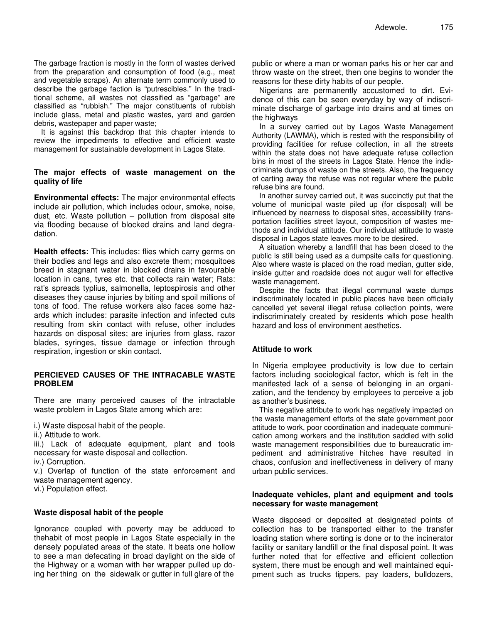The garbage fraction is mostly in the form of wastes derived from the preparation and consumption of food (e.g., meat and vegetable scraps). An alternate term commonly used to describe the garbage faction is "putrescibles." In the traditional scheme, all wastes not classified as "garbage" are classified as "rubbish." The major constituents of rubbish include glass, metal and plastic wastes, yard and garden debris, wastepaper and paper waste;

It is against this backdrop that this chapter intends to review the impediments to effective and efficient waste management for sustainable development in Lagos State.

#### **The major effects of waste management on the quality of life**

**Environmental effects:** The major environmental effects include air pollution, which includes odour, smoke, noise, dust, etc. Waste pollution – pollution from disposal site via flooding because of blocked drains and land degradation.

**Health effects:** This includes: flies which carry germs on their bodies and legs and also excrete them; mosquitoes breed in stagnant water in blocked drains in favourable location in cans, tyres etc. that collects rain water; Rats: rat's spreads typlius, salmonella, leptospirosis and other diseases they cause injuries by biting and spoil millions of tons of food. The refuse workers also faces some hazards which includes: parasite infection and infected cuts resulting from skin contact with refuse, other includes hazards on disposal sites; are injuries from glass, razor blades, syringes, tissue damage or infection through respiration, ingestion or skin contact.

## **PERCIEVED CAUSES OF THE INTRACABLE WASTE PROBLEM**

There are many perceived causes of the intractable waste problem in Lagos State among which are:

i.) Waste disposal habit of the people.

ii.) Attitude to work.

iii.) Lack of adequate equipment, plant and tools necessary for waste disposal and collection.

iv.) Corruption.

v.) Overlap of function of the state enforcement and waste management agency.

vi.) Population effect.

## **Waste disposal habit of the people**

Ignorance coupled with poverty may be adduced to thehabit of most people in Lagos State especially in the densely populated areas of the state. It beats one hollow to see a man defecating in broad daylight on the side of the Highway or a woman with her wrapper pulled up doing her thing on the sidewalk or gutter in full glare of the

public or where a man or woman parks his or her car and throw waste on the street, then one begins to wonder the reasons for these dirty habits of our people.

Nigerians are permanently accustomed to dirt. Evidence of this can be seen everyday by way of indiscriminate discharge of garbage into drains and at times on the highways

In a survey carried out by Lagos Waste Management Authority (LAWMA), which is rested with the responsibility of providing facilities for refuse collection, in all the streets within the state does not have adequate refuse collection bins in most of the streets in Lagos State. Hence the indiscriminate dumps of waste on the streets. Also, the frequency of carting away the refuse was not regular where the public refuse bins are found.

In another survey carried out, it was succinctly put that the volume of municipal waste piled up (for disposal) will be influenced by nearness to disposal sites, accessibility transportation facilities street layout, composition of wastes methods and individual attitude. Our individual attitude to waste disposal in Lagos state leaves more to be desired.

A situation whereby a landfill that has been closed to the public is still being used as a dumpsite calls for questioning. Also where waste is placed on the road median, gutter side, inside gutter and roadside does not augur well for effective waste management.

Despite the facts that illegal communal waste dumps indiscriminately located in public places have been officially cancelled yet several illegal refuse collection points, were indiscriminately created by residents which pose health hazard and loss of environment aesthetics.

## **Attitude to work**

In Nigeria employee productivity is low due to certain factors including sociological factor, which is felt in the manifested lack of a sense of belonging in an organization, and the tendency by employees to perceive a job as another's business.

This negative attribute to work has negatively impacted on the waste management efforts of the state government poor attitude to work, poor coordination and inadequate communication among workers and the institution saddled with solid waste management responsibilities due to bureaucratic impediment and administrative hitches have resulted in chaos, confusion and ineffectiveness in delivery of many urban public services.

## **Inadequate vehicles, plant and equipment and tools necessary for waste management**

Waste disposed or deposited at designated points of collection has to be transported either to the transfer loading station where sorting is done or to the incinerator facility or sanitary landfill or the final disposal point. It was further noted that for effective and efficient collection system, there must be enough and well maintained equipment such as trucks tippers, pay loaders, bulldozers,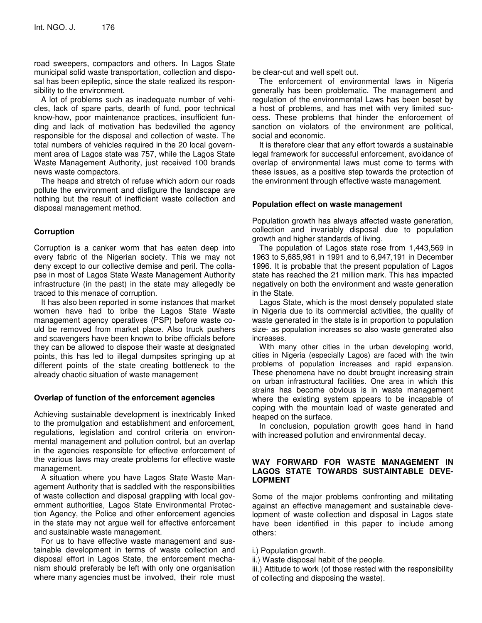road sweepers, compactors and others. In Lagos State municipal solid waste transportation, collection and disposal has been epileptic, since the state realized its responsibility to the environment.

A lot of problems such as inadequate number of vehicles, lack of spare parts, dearth of fund, poor technical know-how, poor maintenance practices, insufficient funding and lack of motivation has bedevilled the agency responsible for the disposal and collection of waste. The total numbers of vehicles required in the 20 local government area of Lagos state was 757, while the Lagos State Waste Management Authority, just received 100 brands news waste compactors.

The heaps and stretch of refuse which adorn our roads pollute the environment and disfigure the landscape are nothing but the result of inefficient waste collection and disposal management method.

## **Corruption**

Corruption is a canker worm that has eaten deep into every fabric of the Nigerian society. This we may not deny except to our collective demise and peril. The collapse in most of Lagos State Waste Management Authority infrastructure (in the past) in the state may allegedly be traced to this menace of corruption.

It has also been reported in some instances that market women have had to bribe the Lagos State Waste management agency operatives (PSP) before waste could be removed from market place. Also truck pushers and scavengers have been known to bribe officials before they can be allowed to dispose their waste at designated points, this has led to illegal dumpsites springing up at different points of the state creating bottleneck to the already chaotic situation of waste management

## **Overlap of function of the enforcement agencies**

Achieving sustainable development is inextricably linked to the promulgation and establishment and enforcement, regulations, legislation and control criteria on environmental management and pollution control, but an overlap in the agencies responsible for effective enforcement of the various laws may create problems for effective waste management.

A situation where you have Lagos State Waste Management Authority that is saddled with the responsibilities of waste collection and disposal grappling with local government authorities, Lagos State Environmental Protection Agency, the Police and other enforcement agencies in the state may not argue well for effective enforcement and sustainable waste management.

For us to have effective waste management and sustainable development in terms of waste collection and disposal effort in Lagos State, the enforcement mechanism should preferably be left with only one organisation where many agencies must be involved, their role must be clear-cut and well spelt out.

The enforcement of environmental laws in Nigeria generally has been problematic. The management and regulation of the environmental Laws has been beset by a host of problems, and has met with very limited success. These problems that hinder the enforcement of sanction on violators of the environment are political, social and economic.

It is therefore clear that any effort towards a sustainable legal framework for successful enforcement, avoidance of overlap of environmental laws must come to terms with these issues, as a positive step towards the protection of the environment through effective waste management.

## **Population effect on waste management**

Population growth has always affected waste generation, collection and invariably disposal due to population growth and higher standards of living.

The population of Lagos state rose from 1,443,569 in 1963 to 5,685,981 in 1991 and to 6,947,191 in December 1996. It is probable that the present population of Lagos state has reached the 21 million mark. This has impacted negatively on both the environment and waste generation in the State.

Lagos State, which is the most densely populated state in Nigeria due to its commercial activities, the quality of waste generated in the state is in proportion to population size- as population increases so also waste generated also increases.

With many other cities in the urban developing world, cities in Nigeria (especially Lagos) are faced with the twin problems of population increases and rapid expansion. These phenomena have no doubt brought increasing strain on urban infrastructural facilities. One area in which this strains has become obvious is in waste management where the existing system appears to be incapable of coping with the mountain load of waste generated and heaped on the surface.

In conclusion, population growth goes hand in hand with increased pollution and environmental decay.

## **WAY FORWARD FOR WASTE MANAGEMENT IN LAGOS STATE TOWARDS SUSTAINTABLE DEVE-LOPMENT**

Some of the major problems confronting and militating against an effective management and sustainable development of waste collection and disposal in Lagos state have been identified in this paper to include among others:

i.) Population growth.

- ii.) Waste disposal habit of the people.
- iii.) Attitude to work (of those rested with the responsibility of collecting and disposing the waste).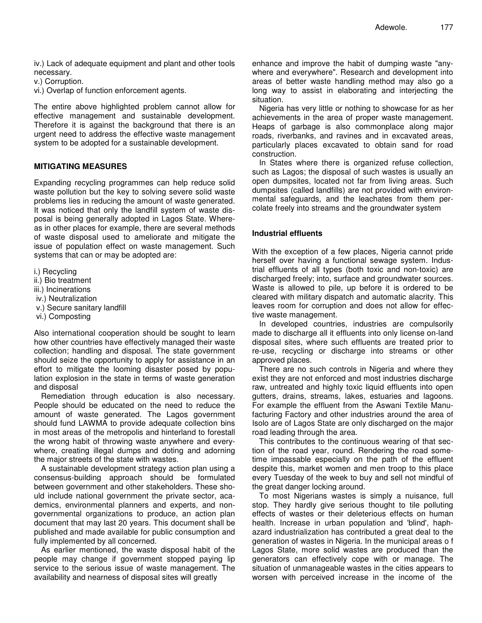iv.) Lack of adequate equipment and plant and other tools necessary.

v.) Corruption.

vi.) Overlap of function enforcement agents.

The entire above highlighted problem cannot allow for effective management and sustainable development. Therefore it is against the background that there is an urgent need to address the effective waste management system to be adopted for a sustainable development.

## **MITIGATING MEASURES**

Expanding recycling programmes can help reduce solid waste pollution but the key to solving severe solid waste problems lies in reducing the amount of waste generated. It was noticed that only the landfill system of waste disposal is being generally adopted in Lagos State. Whereas in other places for example, there are several methods of waste disposal used to ameliorate and mitigate the issue of population effect on waste management. Such systems that can or may be adopted are:

- i.) Recycling
- ii.) Bio treatment
- iii.) Incinerations
- iv.) Neutralization
- v.) Secure sanitary landfill
- vi.) Composting

Also international cooperation should be sought to learn how other countries have effectively managed their waste collection; handling and disposal. The state government should seize the opportunity to apply for assistance in an effort to mitigate the looming disaster posed by population explosion in the state in terms of waste generation and disposal

Remediation through education is also necessary. People should be educated on the need to reduce the amount of waste generated. The Lagos government should fund LAWMA to provide adequate collection bins in most areas of the metropolis and hinterland to forestall the wrong habit of throwing waste anywhere and everywhere, creating illegal dumps and doting and adorning the major streets of the state with wastes.

A sustainable development strategy action plan using a consensus-building approach should be formulated between government and other stakeholders. These should include national government the private sector, academics, environmental planners and experts, and nongovernmental organizations to produce, an action plan document that may last 20 years. This document shall be published and made available for public consumption and fully implemented by all concerned.

As earlier mentioned, the waste disposal habit of the people may change if government stopped paying lip service to the serious issue of waste management. The availability and nearness of disposal sites will greatly

enhance and improve the habit of dumping waste "anywhere and everywhere". Research and development into areas of better waste handling method may also go a long way to assist in elaborating and interjecting the situation.

Nigeria has very little or nothing to showcase for as her achievements in the area of proper waste management. Heaps of garbage is also commonplace along major roads, riverbanks, and ravines and in excavated areas, particularly places excavated to obtain sand for road construction.

In States where there is organized refuse collection, such as Lagos; the disposal of such wastes is usually an open dumpsites, located not far from living areas. Such dumpsites (called landfills) are not provided with environmental safeguards, and the leachates from them percolate freely into streams and the groundwater system

#### **Industrial effluents**

With the exception of a few places, Nigeria cannot pride herself over having a functional sewage system. Industrial effluents of all types (both toxic and non-toxic) are discharged freely; into, surface and groundwater sources. Waste is allowed to pile, up before it is ordered to be cleared with military dispatch and automatic alacrity. This leaves room for corruption and does not allow for effective waste management.

In developed countries, industries are compulsorily made to discharge all it effluents into only license on-land disposal sites, where such effluents are treated prior to re-use, recycling or discharge into streams or other approved places.

There are no such controls in Nigeria and where they exist they are not enforced and most industries discharge raw, untreated and highly toxic liquid effluents into open gutters, drains, streams, lakes, estuaries and lagoons. For example the effluent from the Aswani Textile Manufacturing Factory and other industries around the area of Isolo are of Lagos State are only discharged on the major road leading through the area.

This contributes to the continuous wearing of that section of the road year, round. Rendering the road sometime impassable especially on the path of the effluent despite this, market women and men troop to this place every Tuesday of the week to buy and sell not mindful of the great danger locking around.

To most Nigerians wastes is simply a nuisance, full stop. They hardly give serious thought to tile polluting effects of wastes or their deleterious effects on human health. Increase in urban population and 'blind', haphazard industrialization has contributed a great deal to the generation of wastes in Nigeria. In the municipal areas o f Lagos State, more solid wastes are produced than the generators can effectively cope with or manage. The situation of unmanageable wastes in the cities appears to worsen with perceived increase in the income of the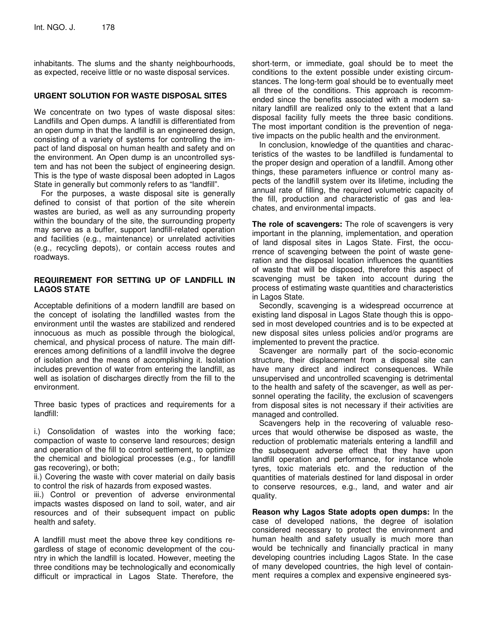inhabitants. The slums and the shanty neighbourhoods, as expected, receive little or no waste disposal services.

## **URGENT SOLUTION FOR WASTE DISPOSAL SITES**

We concentrate on two types of waste disposal sites: Landfills and Open dumps. A landfill is differentiated from an open dump in that the landfill is an engineered design, consisting of a variety of systems for controlling the impact of land disposal on human health and safety and on the environment. An Open dump is an uncontrolled system and has not been the subject of engineering design. This is the type of waste disposal been adopted in Lagos State in generally but commonly refers to as "landfill".

For the purposes, a waste disposal site is generally defined to consist of that portion of the site wherein wastes are buried, as well as any surrounding property within the boundary of the site, the surrounding property may serve as a buffer, support landfill-related operation and facilities (e.g., maintenance) or unrelated activities (e.g., recycling depots), or contain access routes and roadways.

## **REQUIREMENT FOR SETTING UP OF LANDFILL IN LAGOS STATE**

Acceptable definitions of a modern landfill are based on the concept of isolating the landfilled wastes from the environment until the wastes are stabilized and rendered innocuous as much as possible through the biological, chemical, and physical process of nature. The main differences among definitions of a landfill involve the degree of isolation and the means of accomplishing it. Isolation includes prevention of water from entering the landfill, as well as isolation of discharges directly from the fill to the environment.

Three basic types of practices and requirements for a landfill:

i.) Consolidation of wastes into the working face; compaction of waste to conserve land resources; design and operation of the fill to control settlement, to optimize the chemical and biological processes (e.g., for landfill gas recovering), or both;

ii.) Covering the waste with cover material on daily basis to control the risk of hazards from exposed wastes.

iii.) Control or prevention of adverse environmental impacts wastes disposed on land to soil, water, and air resources and of their subsequent impact on public health and safety.

A landfill must meet the above three key conditions regardless of stage of economic development of the country in which the landfill is located. However, meeting the three conditions may be technologically and economically difficult or impractical in Lagos State. Therefore, the

short-term, or immediate, goal should be to meet the conditions to the extent possible under existing circumstances. The long-term goal should be to eventually meet all three of the conditions. This approach is recommended since the benefits associated with a modern sanitary landfill are realized only to the extent that a land disposal facility fully meets the three basic conditions. The most important condition is the prevention of negative impacts on the public health and the environment.

In conclusion, knowledge of the quantities and characteristics of the wastes to be landfilled is fundamental to the proper design and operation of a landfill. Among other things, these parameters influence or control many aspects of the landfill system over its lifetime, including the annual rate of filling, the required volumetric capacity of the fill, production and characteristic of gas and leachates, and environmental impacts.

**The role of scavengers:** The role of scavengers is very important in the planning, implementation, and operation of land disposal sites in Lagos State. First, the occurrence of scavenging between the point of waste generation and the disposal location influences the quantities of waste that will be disposed, therefore this aspect of scavenging must be taken into account during the process of estimating waste quantities and characteristics in Lagos State.

Secondly, scavenging is a widespread occurrence at existing land disposal in Lagos State though this is opposed in most developed countries and is to be expected at new disposal sites unless policies and/or programs are implemented to prevent the practice.

Scavenger are normally part of the socio-economic structure, their displacement from a disposal site can have many direct and indirect consequences. While unsupervised and uncontrolled scavenging is detrimental to the health and safety of the scavenger, as well as personnel operating the facility, the exclusion of scavengers from disposal sites is not necessary if their activities are managed and controlled.

Scavengers help in the recovering of valuable resources that would otherwise be disposed as waste, the reduction of problematic materials entering a landfill and the subsequent adverse effect that they have upon landfill operation and performance, for instance whole tyres, toxic materials etc. and the reduction of the quantities of materials destined for land disposal in order to conserve resources, e.g., land, and water and air quality.

**Reason why Lagos State adopts open dumps:** In the case of developed nations, the degree of isolation considered necessary to protect the environment and human health and safety usually is much more than would be technically and financially practical in many developing countries including Lagos State. In the case of many developed countries, the high level of containment requires a complex and expensive engineered sys